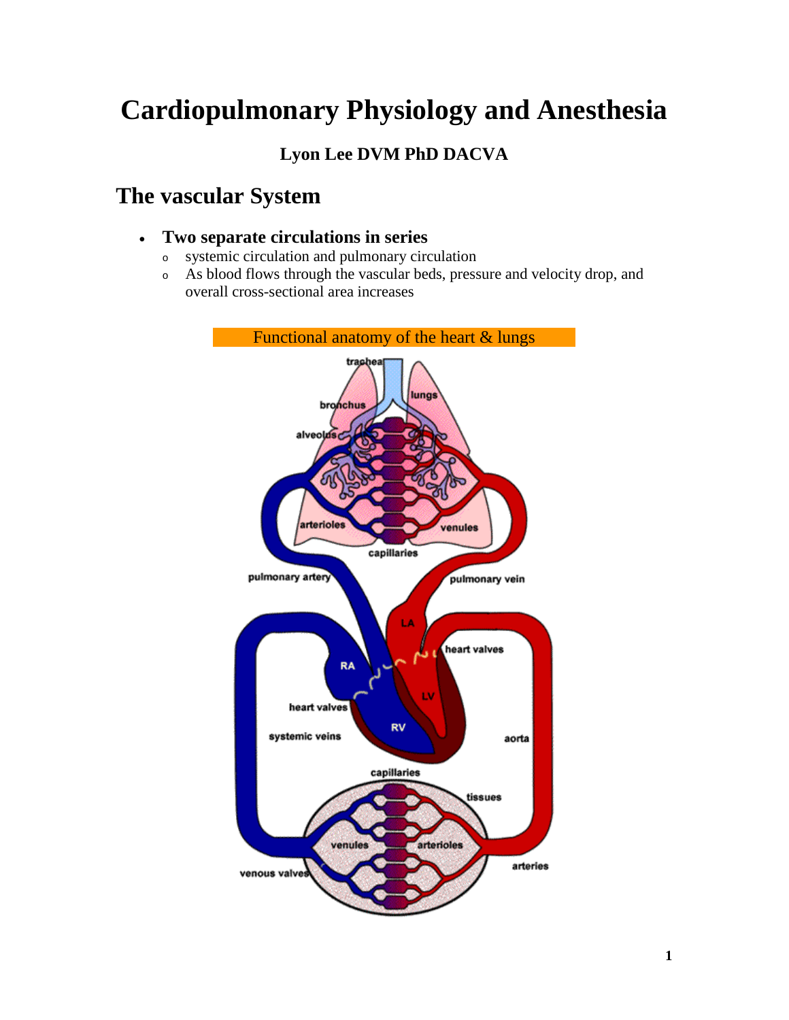# **Cardiopulmonary Physiology and Anesthesia**

**Lyon Lee DVM PhD DACVA**

# **The vascular System**

- **Two separate circulations in series** 
	- <sup>o</sup> systemic circulation and pulmonary circulation
	- <sup>o</sup> As blood flows through the vascular beds, pressure and velocity drop, and overall cross-sectional area increases

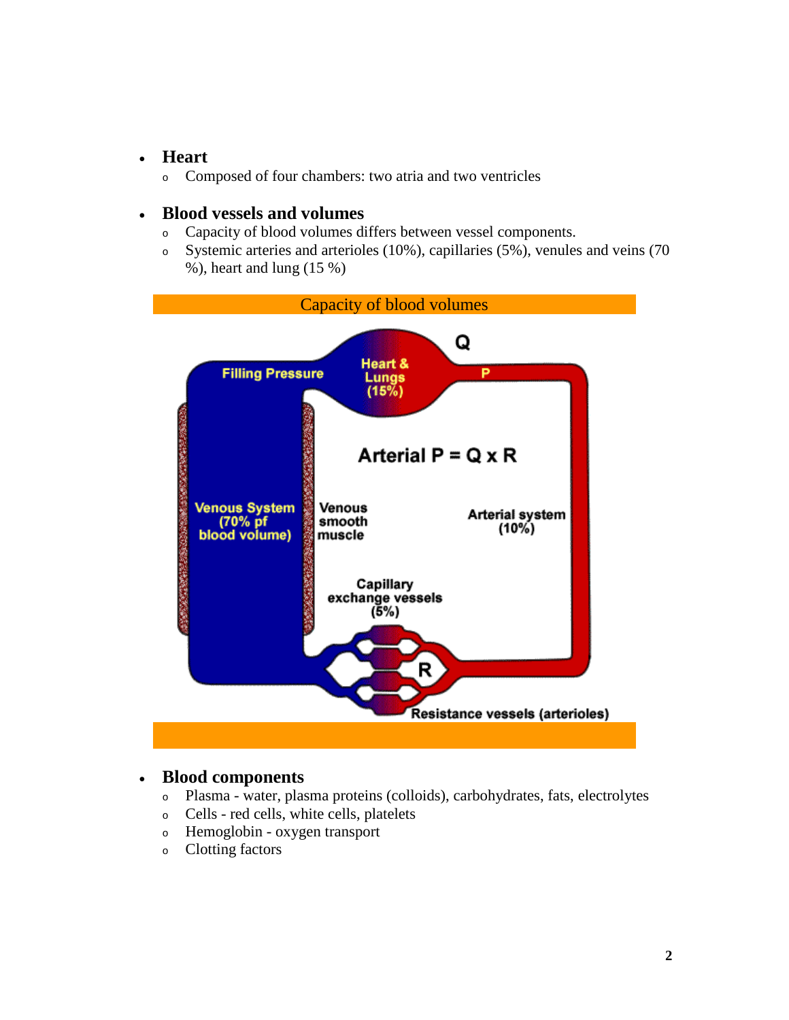#### • **Heart**

<sup>o</sup> Composed of four chambers: two atria and two ventricles

#### • **Blood vessels and volumes**

- <sup>o</sup> Capacity of blood volumes differs between vessel components.
- <sup>o</sup> Systemic arteries and arterioles (10%), capillaries (5%), venules and veins (70 %), heart and lung (15 %)



#### • **Blood components**

- <sup>o</sup> Plasma water, plasma proteins (colloids), carbohydrates, fats, electrolytes
- <sup>o</sup> Cells red cells, white cells, platelets
- <sup>o</sup> Hemoglobin oxygen transport
- <sup>o</sup> Clotting factors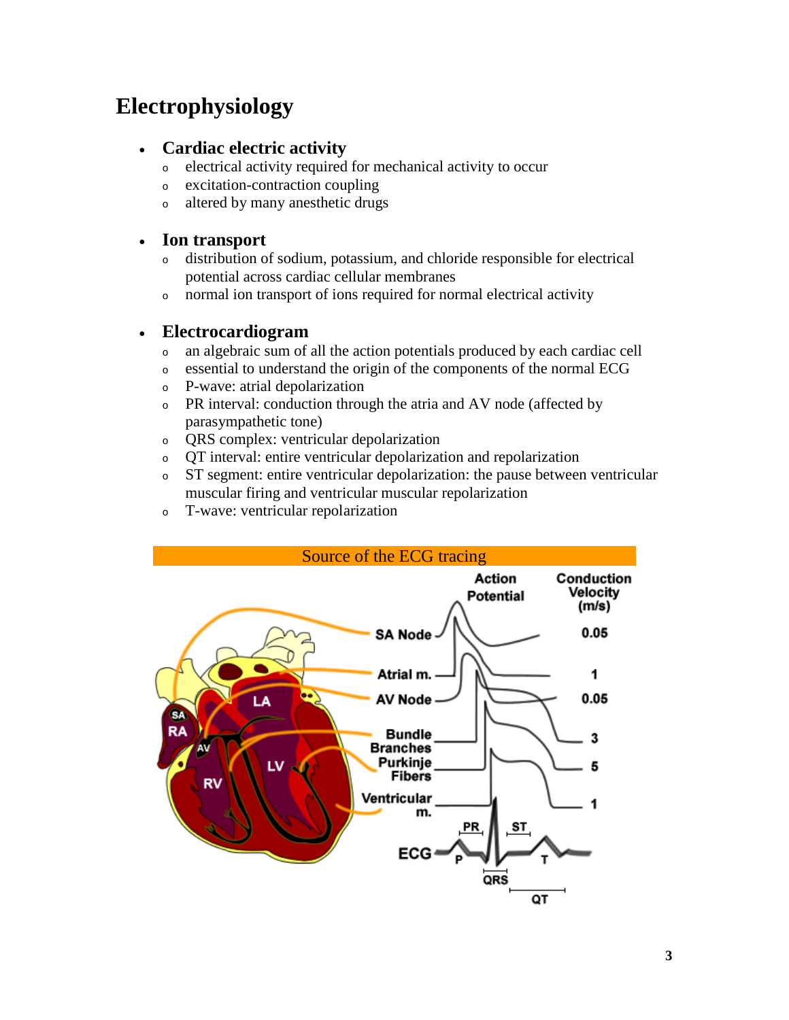# **Electrophysiology**

- **Cardiac electric activity**
	- <sup>o</sup> electrical activity required for mechanical activity to occur
	- <sup>o</sup> excitation-contraction coupling
	- <sup>o</sup> altered by many anesthetic drugs

## • **Ion transport**

- <sup>o</sup> distribution of sodium, potassium, and chloride responsible for electrical potential across cardiac cellular membranes
- <sup>o</sup> normal ion transport of ions required for normal electrical activity

## • **Electrocardiogram**

- <sup>o</sup> an algebraic sum of all the action potentials produced by each cardiac cell
- <sup>o</sup> essential to understand the origin of the components of the normal ECG
- <sup>o</sup> P-wave: atrial depolarization
- <sup>o</sup> PR interval: conduction through the atria and AV node (affected by parasympathetic tone)
- <sup>o</sup> QRS complex: ventricular depolarization
- <sup>o</sup> QT interval: entire ventricular depolarization and repolarization
- <sup>o</sup> ST segment: entire ventricular depolarization: the pause between ventricular muscular firing and ventricular muscular repolarization
- <sup>o</sup> T-wave: ventricular repolarization

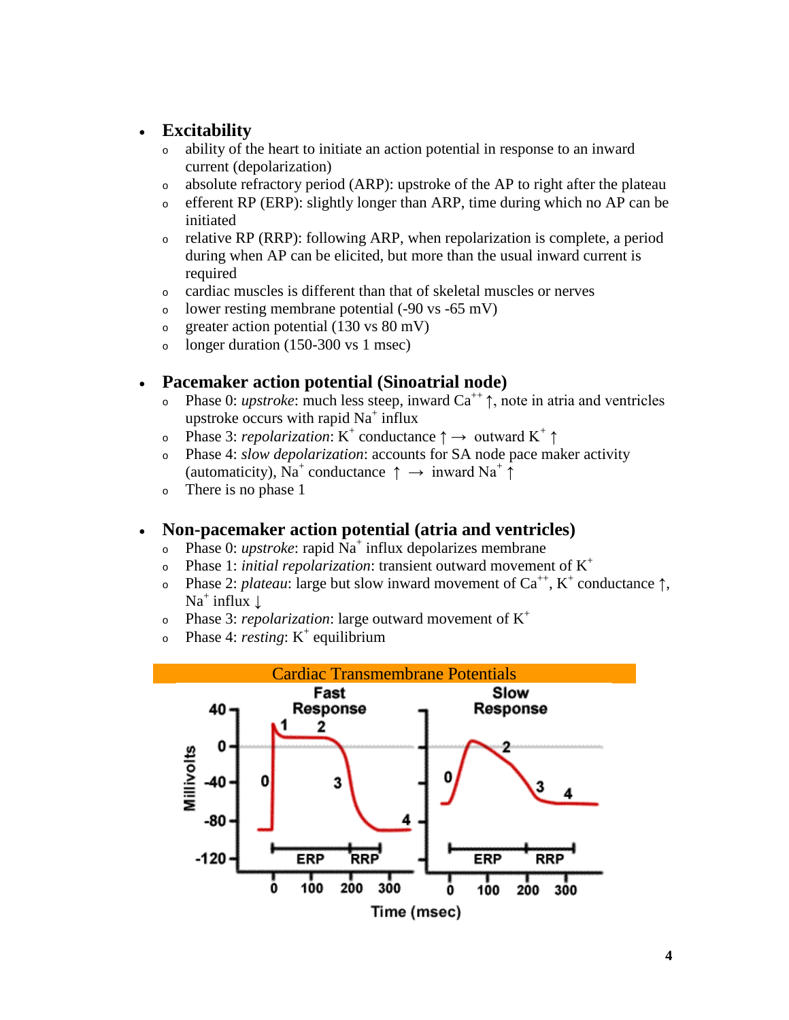## • **Excitability**

- <sup>o</sup> ability of the heart to initiate an action potential in response to an inward current (depolarization)
- <sup>o</sup> absolute refractory period (ARP): upstroke of the AP to right after the plateau
- <sup>o</sup> efferent RP (ERP): slightly longer than ARP, time during which no AP can be initiated
- <sup>o</sup> relative RP (RRP): following ARP, when repolarization is complete, a period during when AP can be elicited, but more than the usual inward current is required
- <sup>o</sup> cardiac muscles is different than that of skeletal muscles or nerves
- <sup>o</sup> lower resting membrane potential (-90 vs -65 mV)
- o greater action potential  $(130 \text{ vs } 80 \text{ mV})$
- o longer duration  $(150-300 \text{ vs } 1 \text{ msec})$

#### • **Pacemaker action potential (Sinoatrial node)**

- <sup>o</sup> Phase 0: *upstroke*: much less steep, inward Ca++ ↑, note in atria and ventricles upstroke occurs with rapid  $Na<sup>+</sup>$  influx
- o Phase 3: *repolarization*: K<sup>+</sup> conductance  $\uparrow \rightarrow$  outward K<sup>+</sup>  $\uparrow$
- <sup>o</sup> Phase 4: *slow depolarization*: accounts for SA node pace maker activity (automaticity), Na<sup>+</sup> conductance  $\uparrow \rightarrow \text{inward Na}^+ \uparrow$
- <sup>o</sup> There is no phase 1

## • **Non-pacemaker action potential (atria and ventricles)**

- o Phase 0: *upstroke*: rapid Na<sup>+</sup> influx depolarizes membrane
- $\circ$  Phase 1: *initial repolarization*: transient outward movement of  $K^+$
- o Phase 2: *plateau*: large but slow inward movement of  $Ca^{++}$ , K<sup>+</sup> conductance  $\uparrow$ ,  $Na<sup>+</sup>$  influx  $\perp$
- <sup>o</sup> Phase 3: *repolarization*: large outward movement of K+
- $\circ$  Phase 4: *resting*: K<sup>+</sup> equilibrium

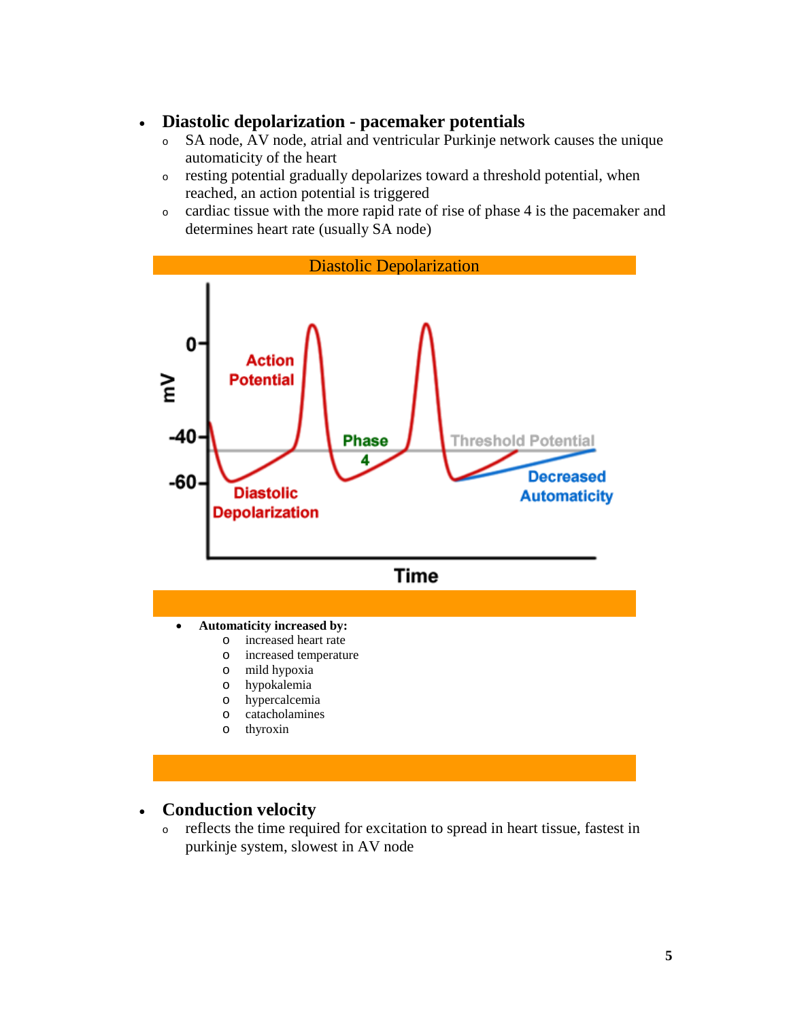#### • **Diastolic depolarization - pacemaker potentials**

- <sup>o</sup> SA node, AV node, atrial and ventricular Purkinje network causes the unique automaticity of the heart
- <sup>o</sup> resting potential gradually depolarizes toward a threshold potential, when reached, an action potential is triggered
- <sup>o</sup> cardiac tissue with the more rapid rate of rise of phase 4 is the pacemaker and determines heart rate (usually SA node)



## • **Conduction velocity**

<sup>o</sup> reflects the time required for excitation to spread in heart tissue, fastest in purkinje system, slowest in AV node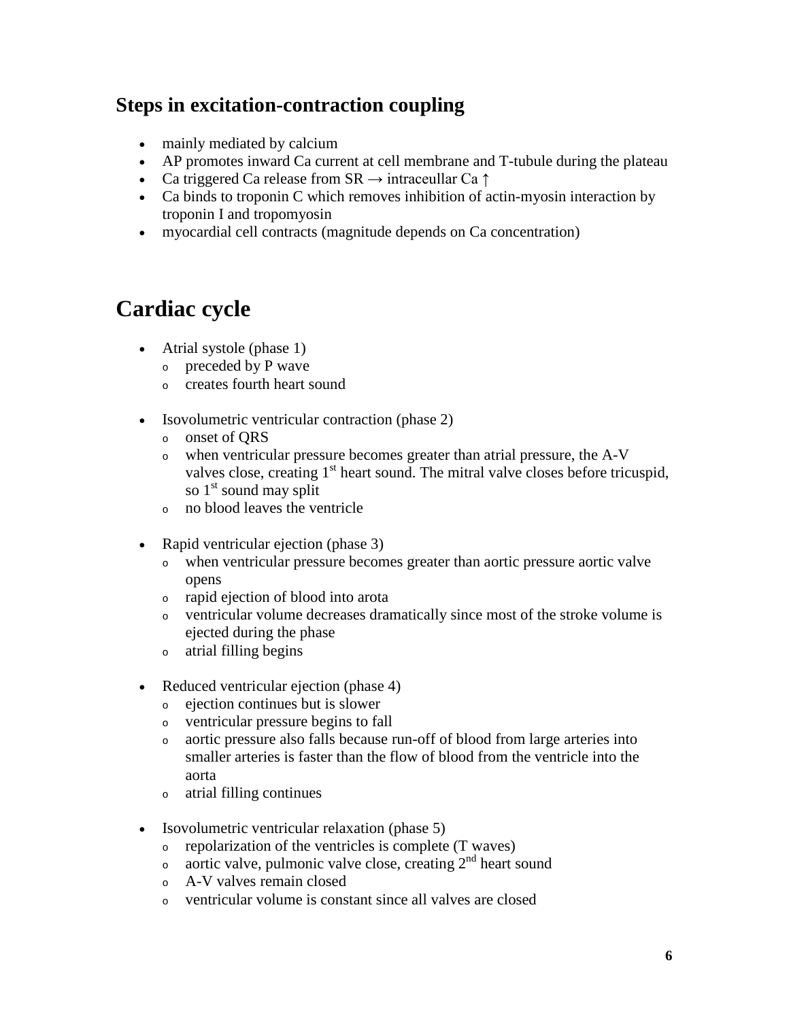# **Steps in excitation-contraction coupling**

- mainly mediated by calcium
- AP promotes inward Ca current at cell membrane and T-tubule during the plateau
- Ca triggered Ca release from  $SR \rightarrow$  intraceullar Ca  $\uparrow$
- Ca binds to troponin C which removes inhibition of actin-myosin interaction by troponin I and tropomyosin
- myocardial cell contracts (magnitude depends on Ca concentration)

# **Cardiac cycle**

- Atrial systole (phase 1)
	- <sup>o</sup> preceded by P wave
	- <sup>o</sup> creates fourth heart sound
- Isovolumetric ventricular contraction (phase 2)
	- <sup>o</sup> onset of QRS
	- <sup>o</sup> when ventricular pressure becomes greater than atrial pressure, the A-V valves close, creating  $1<sup>st</sup>$  heart sound. The mitral valve closes before tricuspid, so  $1<sup>st</sup>$  sound may split
	- <sup>o</sup> no blood leaves the ventricle
- Rapid ventricular ejection (phase 3)
	- <sup>o</sup> when ventricular pressure becomes greater than aortic pressure aortic valve opens
	- <sup>o</sup> rapid ejection of blood into arota
	- <sup>o</sup> ventricular volume decreases dramatically since most of the stroke volume is ejected during the phase
	- <sup>o</sup> atrial filling begins
- Reduced ventricular ejection (phase 4)
	- <sup>o</sup> ejection continues but is slower
	- <sup>o</sup> ventricular pressure begins to fall
	- <sup>o</sup> aortic pressure also falls because run-off of blood from large arteries into smaller arteries is faster than the flow of blood from the ventricle into the aorta
	- <sup>o</sup> atrial filling continues
- Isovolumetric ventricular relaxation (phase 5)
	- <sup>o</sup> repolarization of the ventricles is complete (T waves)
	- <sup>o</sup> aortic valve, pulmonic valve close, creating 2nd heart sound
	- <sup>o</sup> A-V valves remain closed
	- <sup>o</sup> ventricular volume is constant since all valves are closed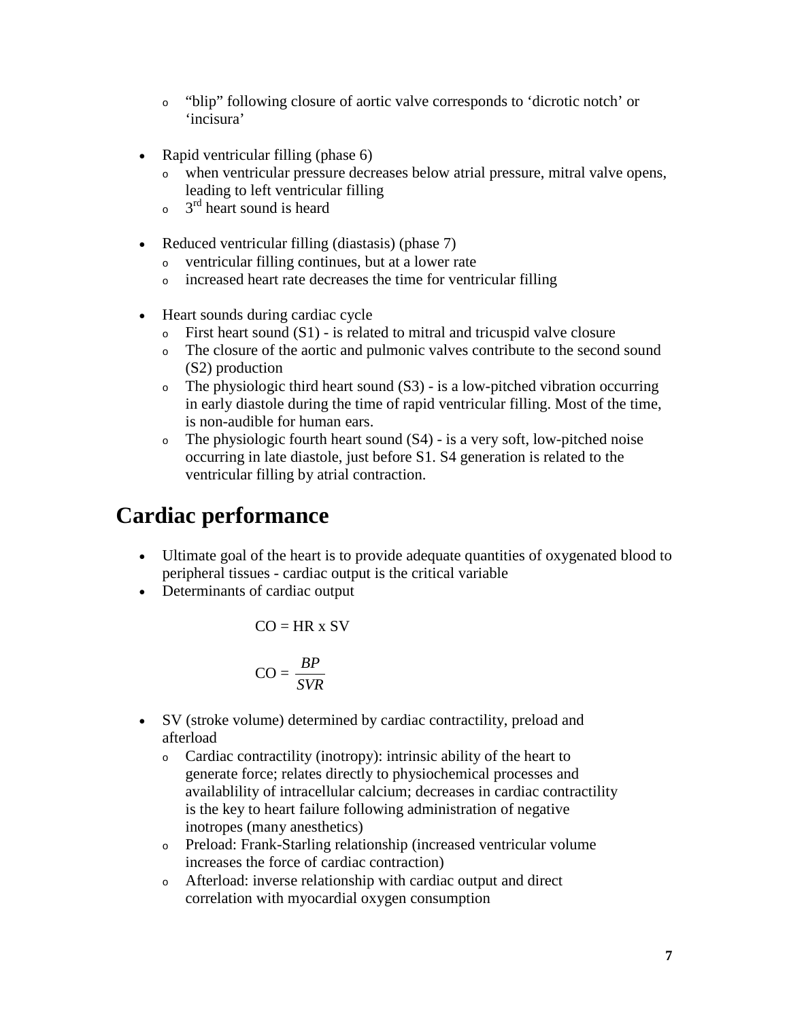- <sup>o</sup> "blip" following closure of aortic valve corresponds to 'dicrotic notch' or 'incisura'
- Rapid ventricular filling (phase 6)
	- when ventricular pressure decreases below atrial pressure, mitral valve opens, leading to left ventricular filling
	- $\frac{3^{rd}}{6}$  heart sound is heard
- Reduced ventricular filling (diastasis) (phase 7)
	- <sup>o</sup> ventricular filling continues, but at a lower rate
	- <sup>o</sup> increased heart rate decreases the time for ventricular filling
- Heart sounds during cardiac cycle
	- $\circ$  First heart sound (S1) is related to mitral and tricuspid valve closure
	- <sup>o</sup> The closure of the aortic and pulmonic valves contribute to the second sound (S2) production
	- <sup>o</sup> The physiologic third heart sound (S3) is a low-pitched vibration occurring in early diastole during the time of rapid ventricular filling. Most of the time, is non-audible for human ears.
	- $\circ$  The physiologic fourth heart sound (S4) is a very soft, low-pitched noise occurring in late diastole, just before S1. S4 generation is related to the ventricular filling by atrial contraction.

# **Cardiac performance**

- Ultimate goal of the heart is to provide adequate quantities of oxygenated blood to peripheral tissues - cardiac output is the critical variable
- Determinants of cardiac output

$$
CO = HR \times SV
$$

$$
CO = \frac{BP}{SVR}
$$

- SV (stroke volume) determined by cardiac contractility, preload and afterload
	- <sup>o</sup> Cardiac contractility (inotropy): intrinsic ability of the heart to generate force; relates directly to physiochemical processes and availablility of intracellular calcium; decreases in cardiac contractility is the key to heart failure following administration of negative inotropes (many anesthetics)
	- <sup>o</sup> Preload: Frank-Starling relationship (increased ventricular volume increases the force of cardiac contraction)
	- <sup>o</sup> Afterload: inverse relationship with cardiac output and direct correlation with myocardial oxygen consumption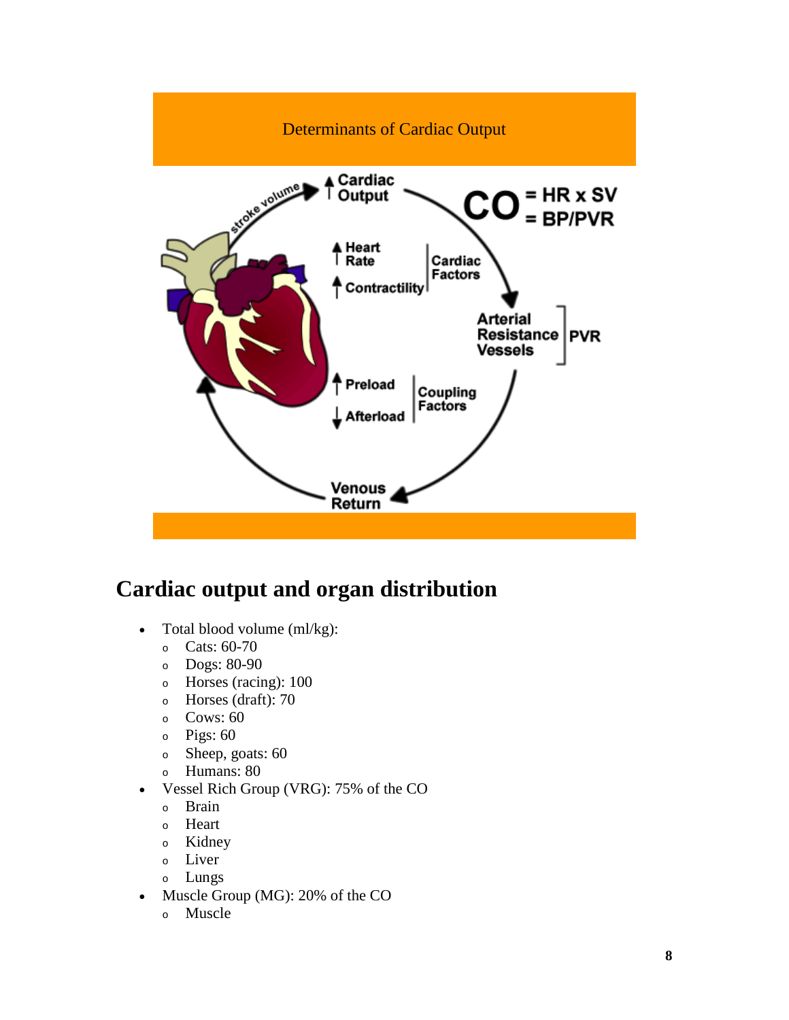

# **Cardiac output and organ distribution**

- Total blood volume (ml/kg):
	- <sup>o</sup> Cats: 60-70
	- <sup>o</sup> Dogs: 80-90
	- <sup>o</sup> Horses (racing): 100
	- <sup>o</sup> Horses (draft): 70
	- <sup>o</sup> Cows: 60
	- <sup>o</sup> Pigs: 60
	- <sup>o</sup> Sheep, goats: 60
	- <sup>o</sup> Humans: 80
- Vessel Rich Group (VRG): 75% of the CO
	- <sup>o</sup> Brain
	- <sup>o</sup> Heart
	- <sup>o</sup> Kidney
	- <sup>o</sup> Liver
	- <sup>o</sup> Lungs
- Muscle Group (MG): 20% of the CO
	- <sup>o</sup> Muscle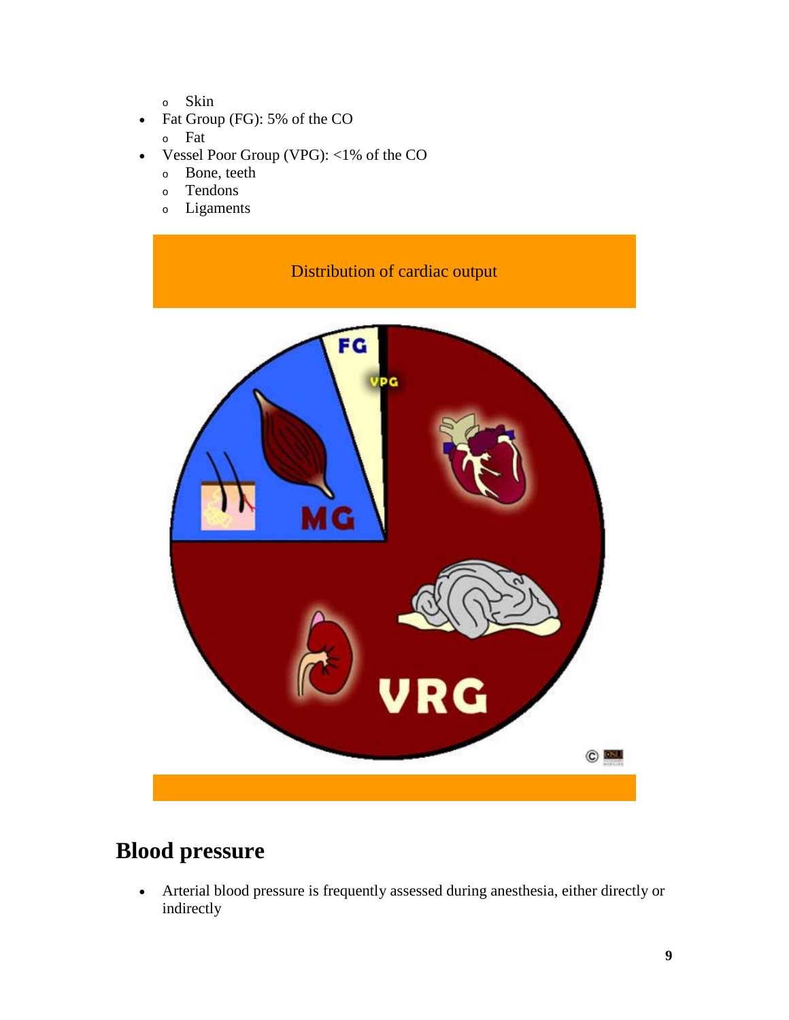- <sup>o</sup> Skin
- Fat Group (FG): 5% of the CO
	- <sup>o</sup> Fat
- Vessel Poor Group (VPG): <1% of the CO
	- <sup>o</sup> Bone, teeth
	- <sup>o</sup> Tendons
	- <sup>o</sup> Ligaments



# **Blood pressure**

• Arterial blood pressure is frequently assessed during anesthesia, either directly or indirectly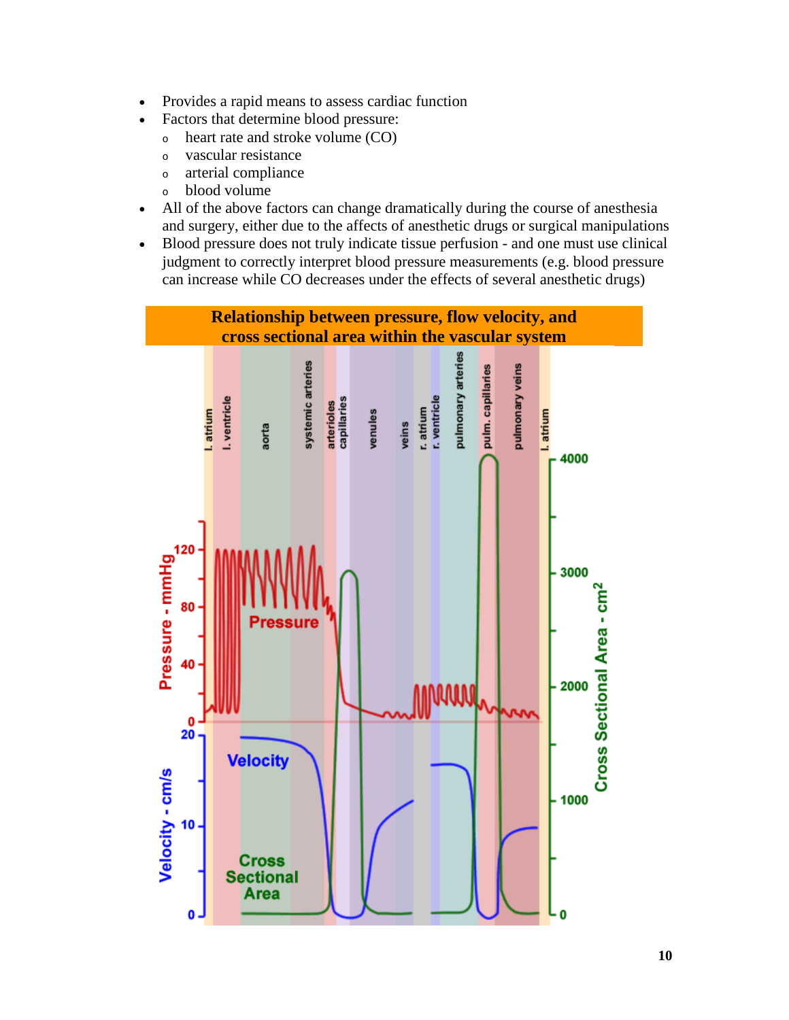- Provides a rapid means to assess cardiac function
- Factors that determine blood pressure:
	- <sup>o</sup> heart rate and stroke volume (CO)
	- <sup>o</sup> vascular resistance
	- <sup>o</sup> arterial compliance
	- <sup>o</sup> blood volume
- All of the above factors can change dramatically during the course of anesthesia and surgery, either due to the affects of anesthetic drugs or surgical manipulations
- Blood pressure does not truly indicate tissue perfusion and one must use clinical judgment to correctly interpret blood pressure measurements (e.g. blood pressure can increase while CO decreases under the effects of several anesthetic drugs)

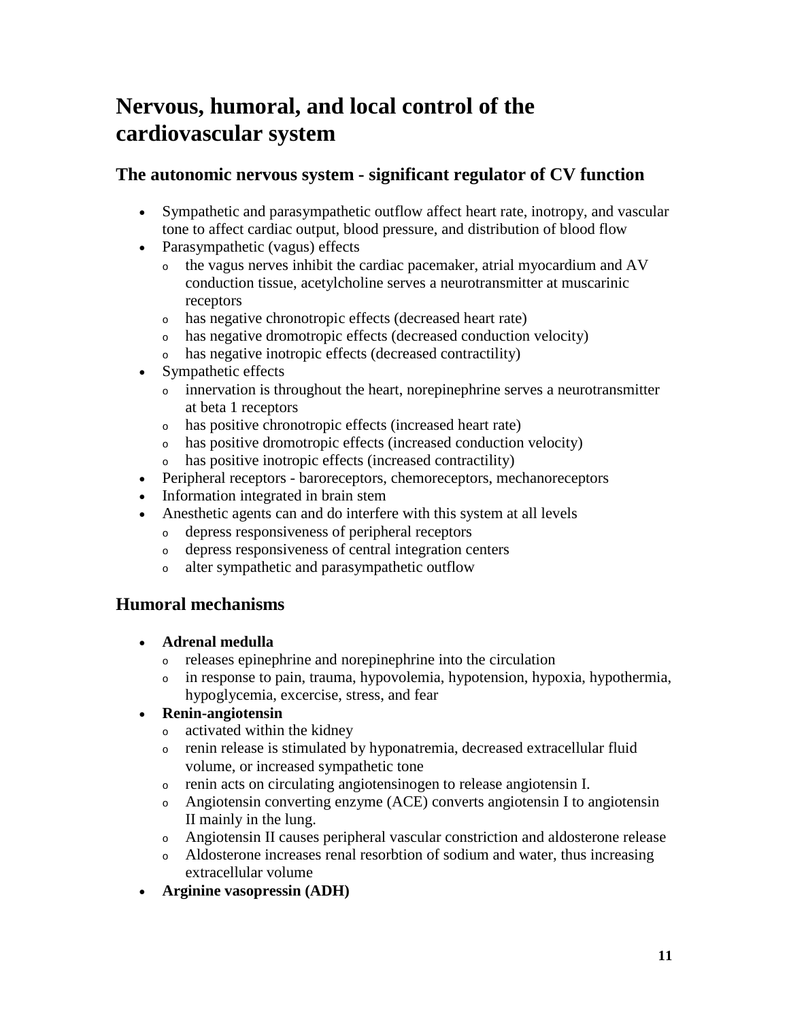# **Nervous, humoral, and local control of the cardiovascular system**

## **The autonomic nervous system - significant regulator of CV function**

- Sympathetic and parasympathetic outflow affect heart rate, inotropy, and vascular tone to affect cardiac output, blood pressure, and distribution of blood flow
- Parasympathetic (vagus) effects
	- <sup>o</sup> the vagus nerves inhibit the cardiac pacemaker, atrial myocardium and AV conduction tissue, acetylcholine serves a neurotransmitter at muscarinic receptors
	- <sup>o</sup> has negative chronotropic effects (decreased heart rate)
	- <sup>o</sup> has negative dromotropic effects (decreased conduction velocity)
	- <sup>o</sup> has negative inotropic effects (decreased contractility)
- Sympathetic effects
	- <sup>o</sup> innervation is throughout the heart, norepinephrine serves a neurotransmitter at beta 1 receptors
	- <sup>o</sup> has positive chronotropic effects (increased heart rate)
	- <sup>o</sup> has positive dromotropic effects (increased conduction velocity)
	- <sup>o</sup> has positive inotropic effects (increased contractility)
- Peripheral receptors baroreceptors, chemoreceptors, mechanoreceptors
- Information integrated in brain stem
- Anesthetic agents can and do interfere with this system at all levels
	- <sup>o</sup> depress responsiveness of peripheral receptors
	- <sup>o</sup> depress responsiveness of central integration centers
	- <sup>o</sup> alter sympathetic and parasympathetic outflow

# **Humoral mechanisms**

- **Adrenal medulla** 
	- <sup>o</sup> releases epinephrine and norepinephrine into the circulation
	- <sup>o</sup> in response to pain, trauma, hypovolemia, hypotension, hypoxia, hypothermia, hypoglycemia, excercise, stress, and fear

## • **Renin-angiotensin**

- <sup>o</sup> activated within the kidney
- <sup>o</sup> renin release is stimulated by hyponatremia, decreased extracellular fluid volume, or increased sympathetic tone
- <sup>o</sup> renin acts on circulating angiotensinogen to release angiotensin I.
- <sup>o</sup> Angiotensin converting enzyme (ACE) converts angiotensin I to angiotensin II mainly in the lung.
- <sup>o</sup> Angiotensin II causes peripheral vascular constriction and aldosterone release
- <sup>o</sup> Aldosterone increases renal resorbtion of sodium and water, thus increasing extracellular volume
- **Arginine vasopressin (ADH)**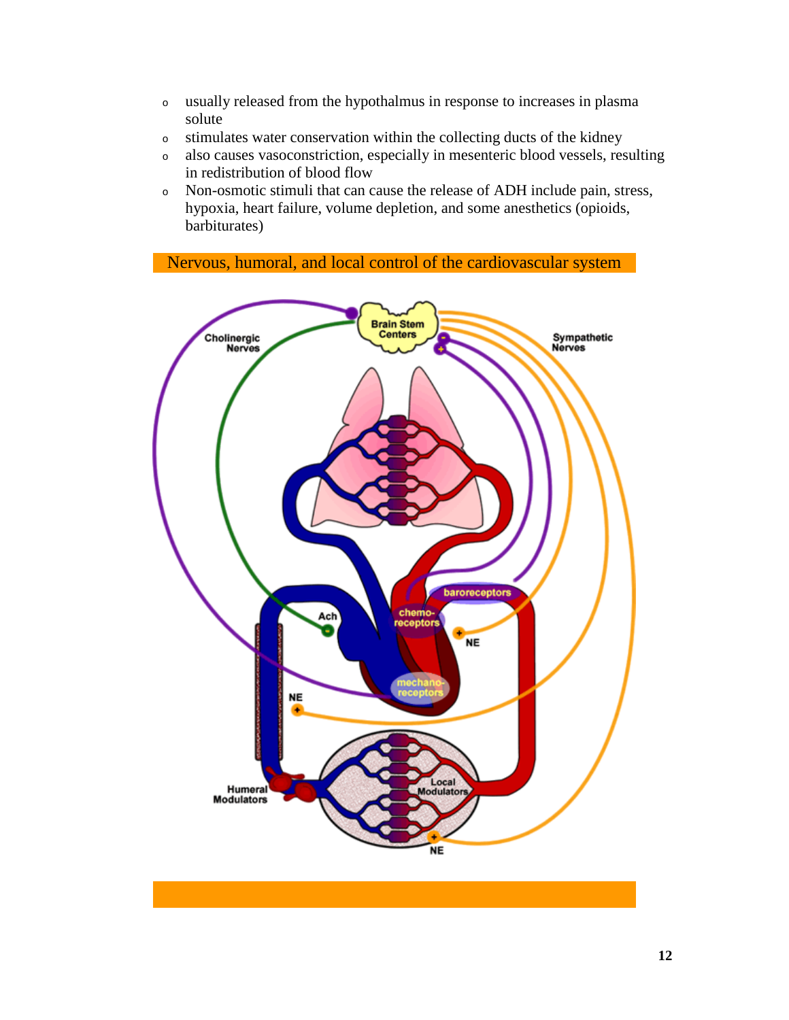- <sup>o</sup> usually released from the hypothalmus in response to increases in plasma solute
- <sup>o</sup> stimulates water conservation within the collecting ducts of the kidney
- <sup>o</sup> also causes vasoconstriction, especially in mesenteric blood vessels, resulting in redistribution of blood flow
- <sup>o</sup> Non-osmotic stimuli that can cause the release of ADH include pain, stress, hypoxia, heart failure, volume depletion, and some anesthetics (opioids, barbiturates)

Nervous, humoral, and local control of the cardiovascular system

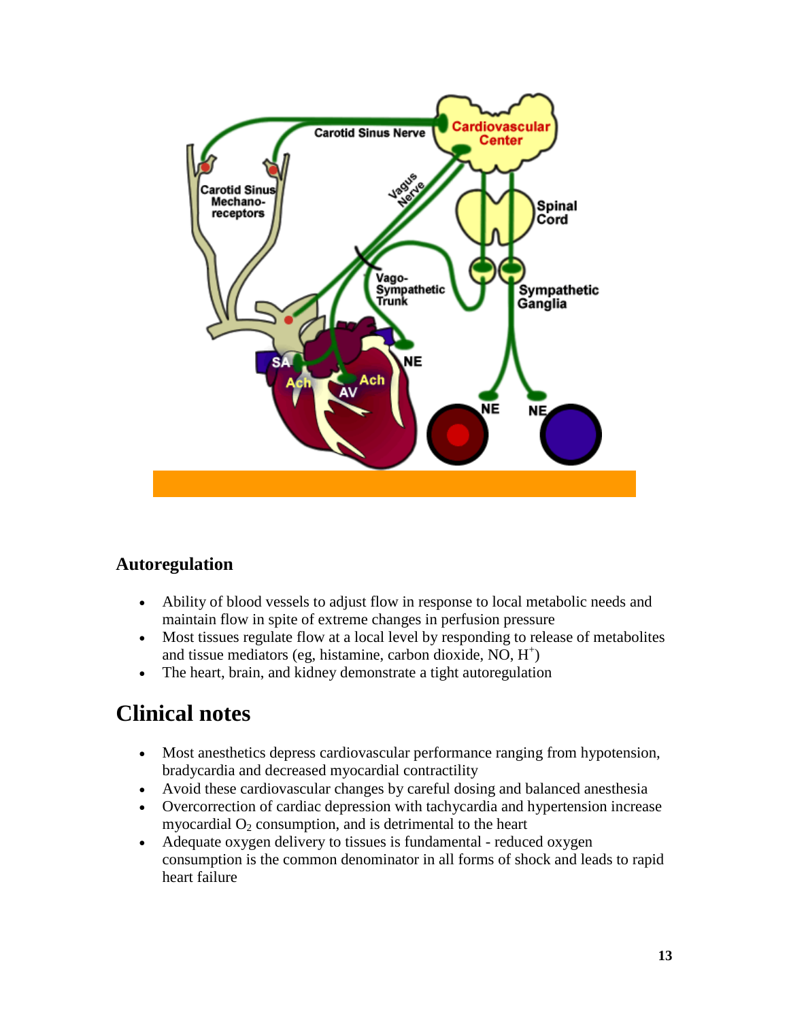

## **Autoregulation**

- Ability of blood vessels to adjust flow in response to local metabolic needs and maintain flow in spite of extreme changes in perfusion pressure
- Most tissues regulate flow at a local level by responding to release of metabolites and tissue mediators (eg, histamine, carbon dioxide, NO, H<sup>+</sup>)
- The heart, brain, and kidney demonstrate a tight autoregulation

# **Clinical notes**

- Most anesthetics depress cardiovascular performance ranging from hypotension, bradycardia and decreased myocardial contractility
- Avoid these cardiovascular changes by careful dosing and balanced anesthesia
- Overcorrection of cardiac depression with tachycardia and hypertension increase myocardial  $O_2$  consumption, and is detrimental to the heart
- Adequate oxygen delivery to tissues is fundamental reduced oxygen consumption is the common denominator in all forms of shock and leads to rapid heart failure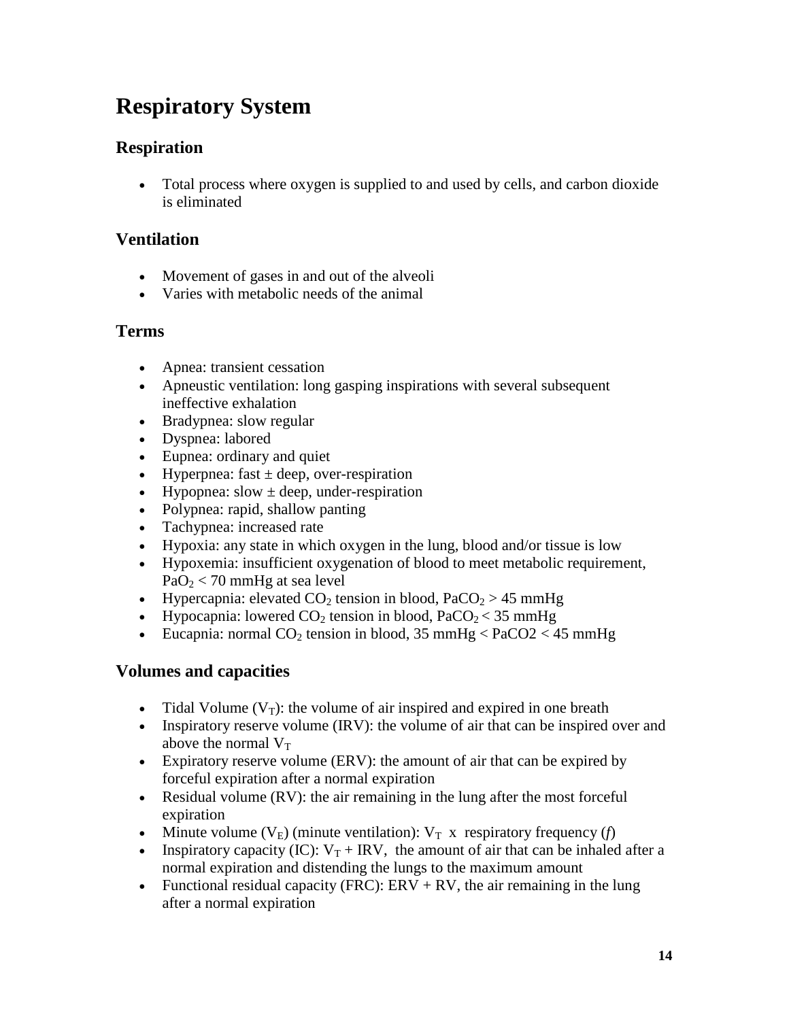# **Respiratory System**

# **Respiration**

• Total process where oxygen is supplied to and used by cells, and carbon dioxide is eliminated

# **Ventilation**

- Movement of gases in and out of the alveoli
- Varies with metabolic needs of the animal

# **Terms**

- Apnea: transient cessation
- Apneustic ventilation: long gasping inspirations with several subsequent ineffective exhalation
- Bradypnea: slow regular
- Dyspnea: labored
- Eupnea: ordinary and quiet
- Hyperpnea: fast  $\pm$  deep, over-respiration
- Hypopnea: slow  $\pm$  deep, under-respiration
- Polypnea: rapid, shallow panting
- Tachypnea: increased rate
- Hypoxia: any state in which oxygen in the lung, blood and/or tissue is low
- Hypoxemia: insufficient oxygenation of blood to meet metabolic requirement,  $PaO<sub>2</sub> < 70$  mmHg at sea level
- Hypercapnia: elevated  $CO_2$  tension in blood,  $PaCO_2 > 45$  mmHg
- Hypocapnia: lowered  $CO_2$  tension in blood,  $PaCO_2 < 35$  mmHg
- Eucapnia: normal  $CO_2$  tension in blood, 35 mmHg < PaCO2 < 45 mmHg

# **Volumes and capacities**

- Tidal Volume  $(V_T)$ : the volume of air inspired and expired in one breath
- Inspiratory reserve volume (IRV): the volume of air that can be inspired over and above the normal  $V_T$
- Expiratory reserve volume (ERV): the amount of air that can be expired by forceful expiration after a normal expiration
- Residual volume (RV): the air remaining in the lung after the most forceful expiration
- Minute volume  $(V_E)$  (minute ventilation):  $V_T$  x respiratory frequency (*f*)
- Inspiratory capacity (IC):  $V_T + IRV$ , the amount of air that can be inhaled after a normal expiration and distending the lungs to the maximum amount
- Functional residual capacity (FRC):  $ERV + RV$ , the air remaining in the lung after a normal expiration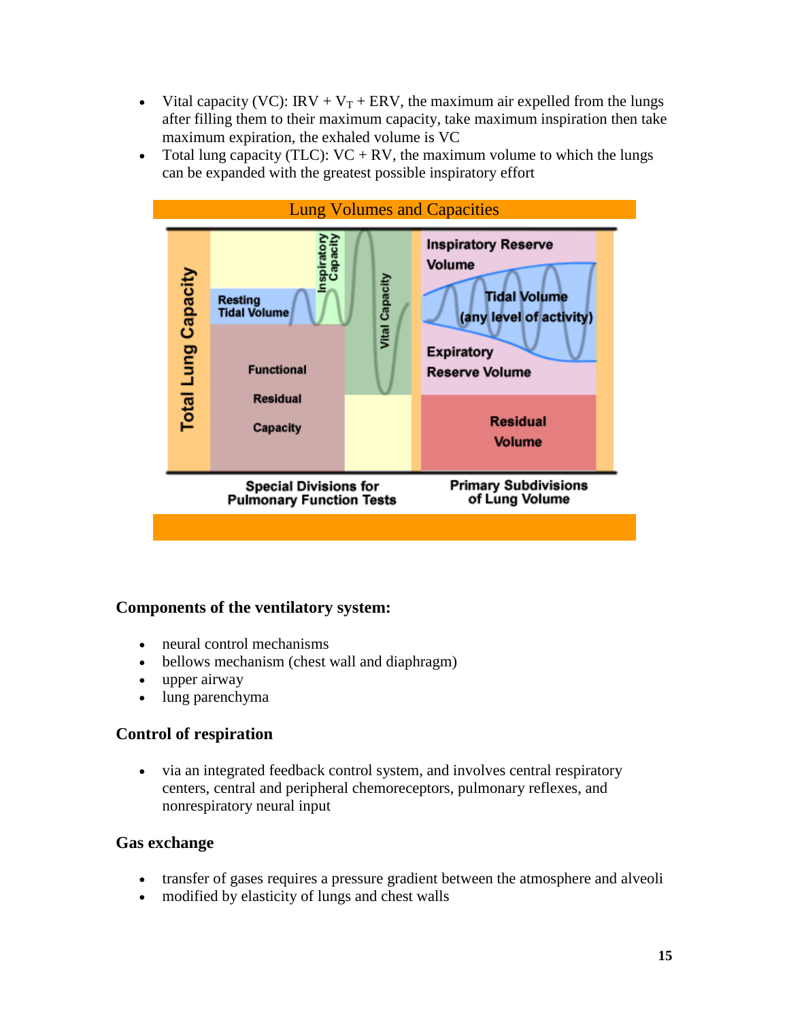- Vital capacity (VC): IRV +  $V_T$  + ERV, the maximum air expelled from the lungs after filling them to their maximum capacity, take maximum inspiration then take maximum expiration, the exhaled volume is VC
- Total lung capacity (TLC):  $VC + RV$ , the maximum volume to which the lungs can be expanded with the greatest possible inspiratory effort



## **Components of the ventilatory system:**

- neural control mechanisms
- bellows mechanism (chest wall and diaphragm)
- upper airway
- lung parenchyma

#### **Control of respiration**

• via an integrated feedback control system, and involves central respiratory centers, central and peripheral chemoreceptors, pulmonary reflexes, and nonrespiratory neural input

#### **Gas exchange**

- transfer of gases requires a pressure gradient between the atmosphere and alveoli
- modified by elasticity of lungs and chest walls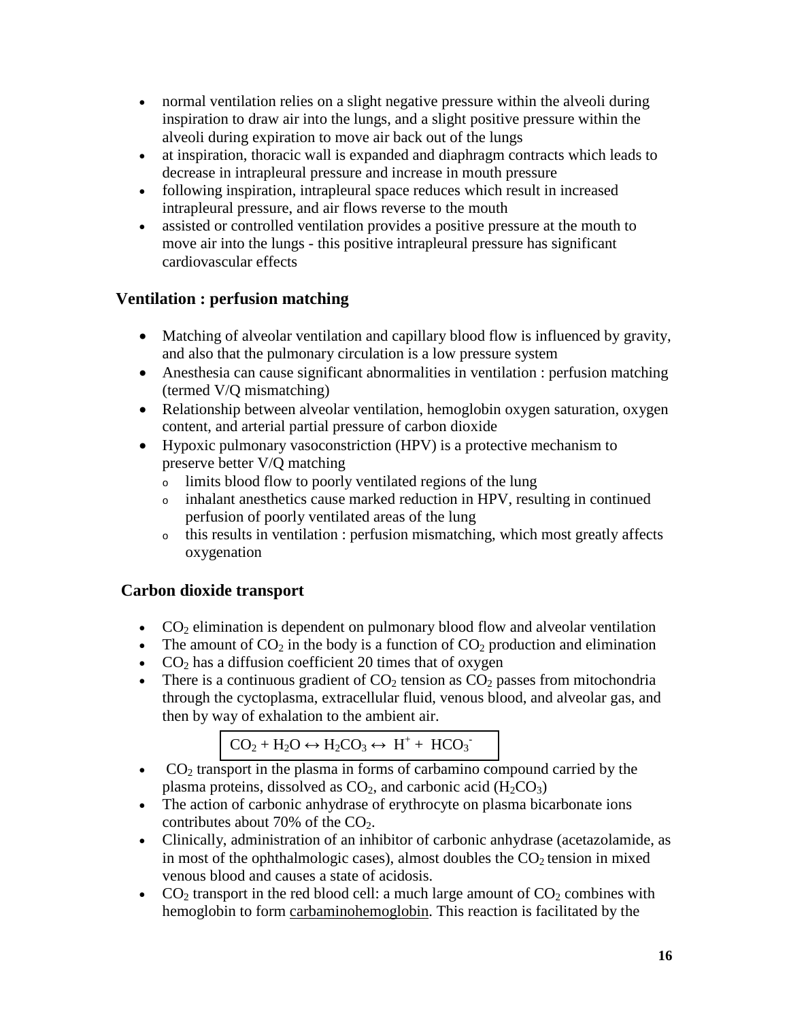- normal ventilation relies on a slight negative pressure within the alveoli during inspiration to draw air into the lungs, and a slight positive pressure within the alveoli during expiration to move air back out of the lungs
- at inspiration, thoracic wall is expanded and diaphragm contracts which leads to decrease in intrapleural pressure and increase in mouth pressure
- following inspiration, intrapleural space reduces which result in increased intrapleural pressure, and air flows reverse to the mouth
- assisted or controlled ventilation provides a positive pressure at the mouth to move air into the lungs - this positive intrapleural pressure has significant cardiovascular effects

## **Ventilation : perfusion matching**

- Matching of alveolar ventilation and capillary blood flow is influenced by gravity, and also that the pulmonary circulation is a low pressure system
- Anesthesia can cause significant abnormalities in ventilation : perfusion matching (termed V/Q mismatching)
- Relationship between alveolar ventilation, hemoglobin oxygen saturation, oxygen content, and arterial partial pressure of carbon dioxide
- Hypoxic pulmonary vasoconstriction (HPV) is a protective mechanism to preserve better V/Q matching
	- <sup>o</sup> limits blood flow to poorly ventilated regions of the lung
	- <sup>o</sup> inhalant anesthetics cause marked reduction in HPV, resulting in continued perfusion of poorly ventilated areas of the lung
	- <sup>o</sup> this results in ventilation : perfusion mismatching, which most greatly affects oxygenation

## **Carbon dioxide transport**

- $CO<sub>2</sub>$  elimination is dependent on pulmonary blood flow and alveolar ventilation
- The amount of  $CO_2$  in the body is a function of  $CO_2$  production and elimination
- $CO<sub>2</sub>$  has a diffusion coefficient 20 times that of oxygen
- There is a continuous gradient of  $CO<sub>2</sub>$  tension as  $CO<sub>2</sub>$  passes from mitochondria through the cyctoplasma, extracellular fluid, venous blood, and alveolar gas, and then by way of exhalation to the ambient air.

$$
CO_2 + H_2O \leftrightarrow H_2CO_3 \leftrightarrow H^+ + HCO_3^-
$$

- $CO<sub>2</sub>$  transport in the plasma in forms of carbamino compound carried by the plasma proteins, dissolved as  $CO<sub>2</sub>$ , and carbonic acid (H<sub>2</sub>CO<sub>3</sub>)
- The action of carbonic anhydrase of erythrocyte on plasma bicarbonate ions contributes about 70% of the  $CO<sub>2</sub>$ .
- Clinically, administration of an inhibitor of carbonic anhydrase (acetazolamide, as in most of the ophthalmologic cases), almost doubles the  $CO<sub>2</sub>$  tension in mixed venous blood and causes a state of acidosis.
- CO<sub>2</sub> transport in the red blood cell: a much large amount of  $CO_2$  combines with hemoglobin to form carbaminohemoglobin. This reaction is facilitated by the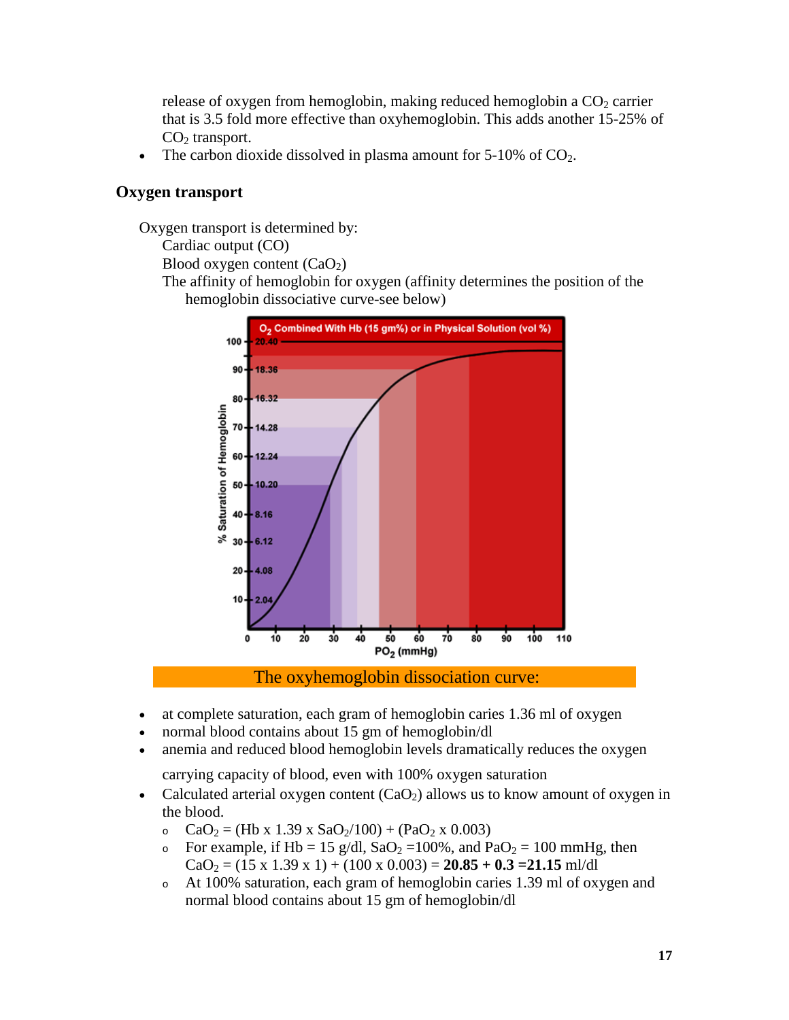release of oxygen from hemoglobin, making reduced hemoglobin a  $CO<sub>2</sub>$  carrier that is 3.5 fold more effective than oxyhemoglobin. This adds another 15-25% of  $CO<sub>2</sub>$  transport.

The carbon dioxide dissolved in plasma amount for  $5-10\%$  of  $CO<sub>2</sub>$ .

#### **Oxygen transport**

Oxygen transport is determined by:

Cardiac output (CO)

Blood oxygen content  $(CaO<sub>2</sub>)$ 

The affinity of hemoglobin for oxygen (affinity determines the position of the hemoglobin dissociative curve-see below)



The oxyhemoglobin dissociation curve:

- at complete saturation, each gram of hemoglobin caries 1.36 ml of oxygen
- normal blood contains about 15 gm of hemoglobin/dl
- anemia and reduced blood hemoglobin levels dramatically reduces the oxygen

carrying capacity of blood, even with 100% oxygen saturation

- Calculated arterial oxygen content  $(CaO<sub>2</sub>)$  allows us to know amount of oxygen in the blood.
	- o  $CaO<sub>2</sub> = (Hb x 1.39 x SaO<sub>2</sub>/100) + (PaO<sub>2</sub> x 0.003)$
	- o For example, if Hb = 15 g/dl,  $SaO_2 = 100\%$ , and  $PaO_2 = 100$  mmHg, then  $CaO<sub>2</sub> = (15 \times 1.39 \times 1) + (100 \times 0.003) = 20.85 + 0.3 = 21.15$  ml/dl
	- <sup>o</sup> At 100% saturation, each gram of hemoglobin caries 1.39 ml of oxygen and normal blood contains about 15 gm of hemoglobin/dl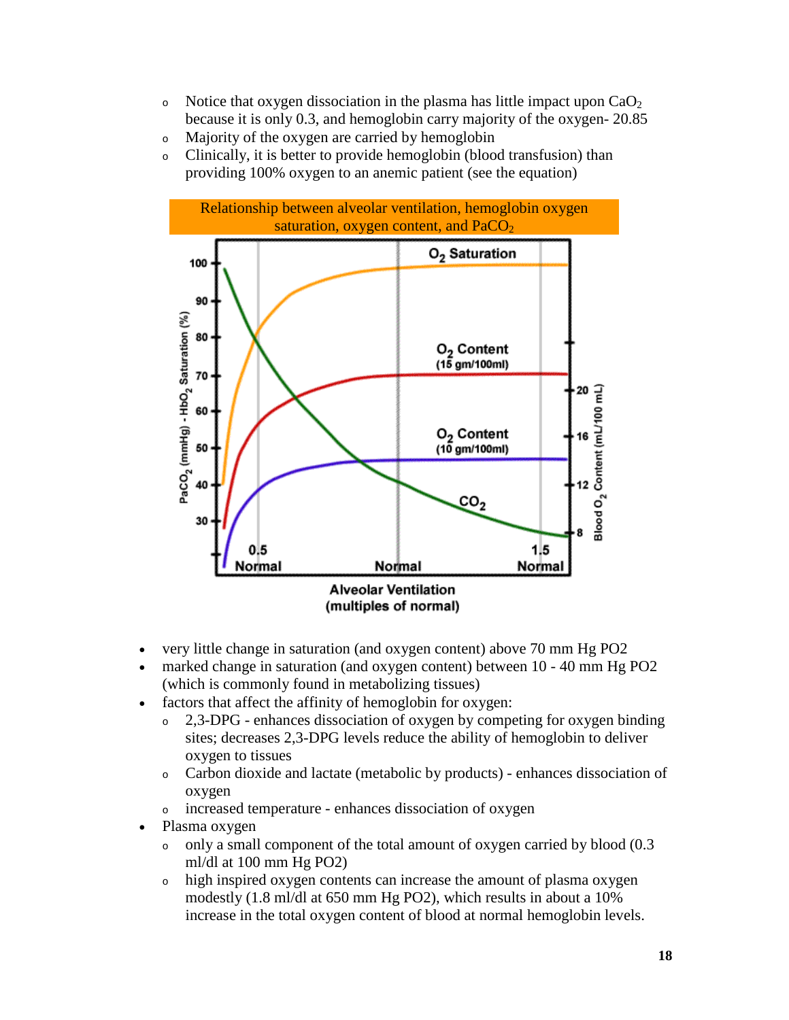- o Notice that oxygen dissociation in the plasma has little impact upon  $CaO<sub>2</sub>$ because it is only 0.3, and hemoglobin carry majority of the oxygen- 20.85
- <sup>o</sup> Majority of the oxygen are carried by hemoglobin
- <sup>o</sup> Clinically, it is better to provide hemoglobin (blood transfusion) than providing 100% oxygen to an anemic patient (see the equation)



- very little change in saturation (and oxygen content) above 70 mm Hg PO2
- marked change in saturation (and oxygen content) between 10 40 mm Hg PO2 (which is commonly found in metabolizing tissues)
- factors that affect the affinity of hemoglobin for oxygen:
	- <sup>o</sup> 2,3-DPG enhances dissociation of oxygen by competing for oxygen binding sites; decreases 2,3-DPG levels reduce the ability of hemoglobin to deliver oxygen to tissues
	- <sup>o</sup> Carbon dioxide and lactate (metabolic by products) enhances dissociation of oxygen
	- <sup>o</sup> increased temperature enhances dissociation of oxygen
- Plasma oxygen
	- $\circ$  only a small component of the total amount of oxygen carried by blood (0.3) ml/dl at 100 mm Hg PO2)
	- <sup>o</sup> high inspired oxygen contents can increase the amount of plasma oxygen modestly (1.8 ml/dl at 650 mm Hg PO2), which results in about a 10% increase in the total oxygen content of blood at normal hemoglobin levels.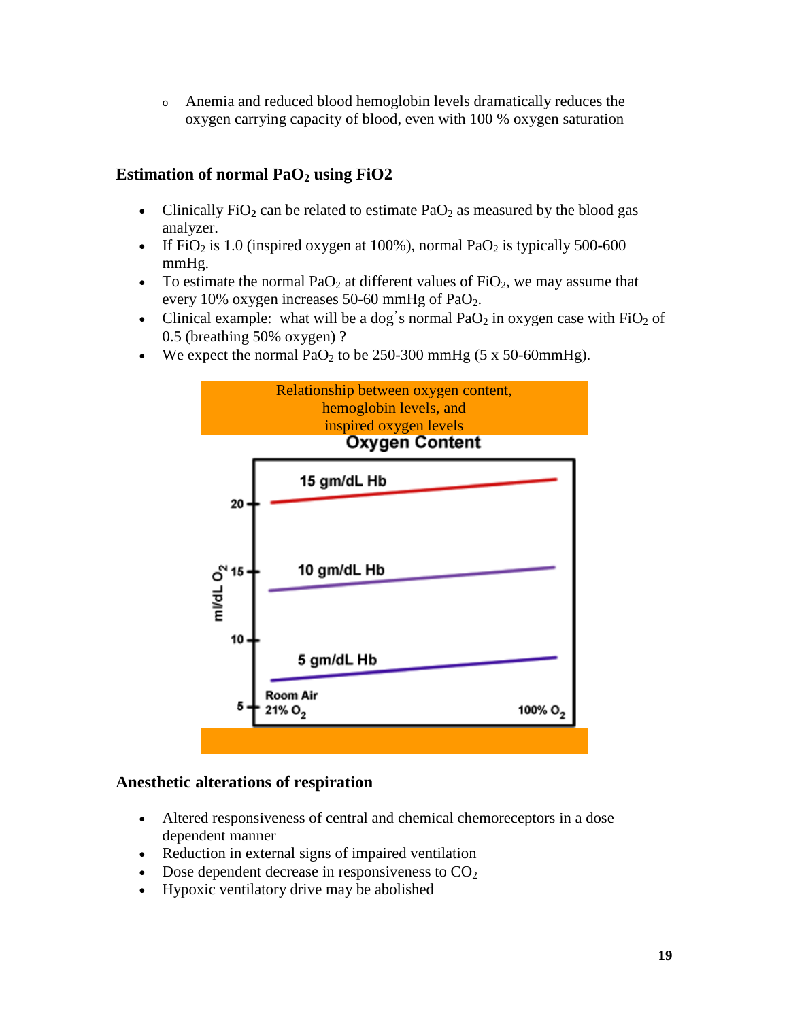<sup>o</sup> Anemia and reduced blood hemoglobin levels dramatically reduces the oxygen carrying capacity of blood, even with 100 % oxygen saturation

## **Estimation of normal PaO2 using FiO2**

- Clinically  $FiO<sub>2</sub>$  can be related to estimate  $PaO<sub>2</sub>$  as measured by the blood gas analyzer.
- If  $FiO<sub>2</sub>$  is 1.0 (inspired oxygen at 100%), normal Pa $O<sub>2</sub>$  is typically 500-600 mmHg.
- To estimate the normal  $PaO<sub>2</sub>$  at different values of  $FiO<sub>2</sub>$ , we may assume that every 10% oxygen increases 50-60 mmHg of PaO2.
- Clinical example: what will be a dog's normal  $PaO<sub>2</sub>$  in oxygen case with  $FiO<sub>2</sub>$  of 0.5 (breathing 50% oxygen) ?
- We expect the normal  $PaO<sub>2</sub>$  to be 250-300 mmHg (5 x 50-60mmHg).



#### **Anesthetic alterations of respiration**

- Altered responsiveness of central and chemical chemoreceptors in a dose dependent manner
- Reduction in external signs of impaired ventilation
- Dose dependent decrease in responsiveness to  $CO<sub>2</sub>$
- Hypoxic ventilatory drive may be abolished